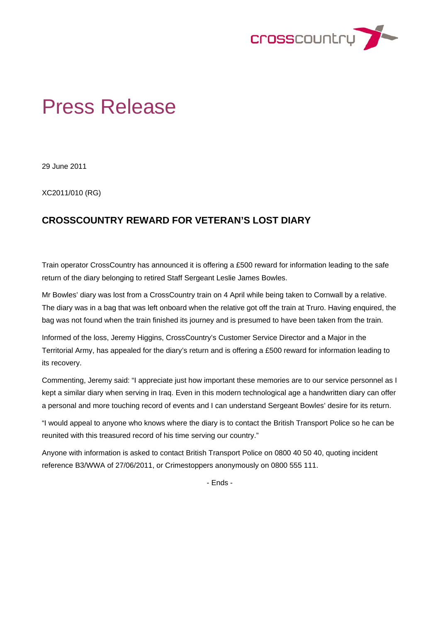

## Press Release

29 June 2011

XC2011/010 (RG)

## **CROSSCOUNTRY REWARD FOR VETERAN'S LOST DIARY**

Train operator CrossCountry has announced it is offering a £500 reward for information leading to the safe return of the diary belonging to retired Staff Sergeant Leslie James Bowles.

Mr Bowles' diary was lost from a CrossCountry train on 4 April while being taken to Cornwall by a relative. The diary was in a bag that was left onboard when the relative got off the train at Truro. Having enquired, the bag was not found when the train finished its journey and is presumed to have been taken from the train.

Informed of the loss, Jeremy Higgins, CrossCountry's Customer Service Director and a Major in the Territorial Army, has appealed for the diary's return and is offering a £500 reward for information leading to its recovery.

Commenting, Jeremy said: "I appreciate just how important these memories are to our service personnel as I kept a similar diary when serving in Iraq. Even in this modern technological age a handwritten diary can offer a personal and more touching record of events and I can understand Sergeant Bowles' desire for its return.

"I would appeal to anyone who knows where the diary is to contact the British Transport Police so he can be reunited with this treasured record of his time serving our country."

Anyone with information is asked to contact British Transport Police on 0800 40 50 40, quoting incident reference B3/WWA of 27/06/2011, or Crimestoppers anonymously on 0800 555 111.

- Ends -